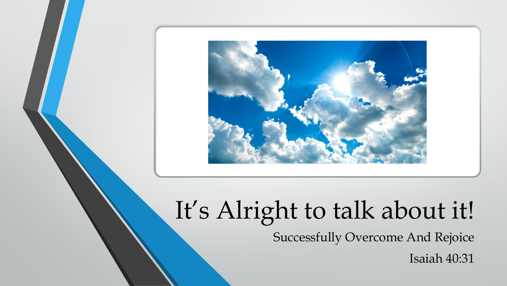

# It's Alright to talk about it!

Successfully Overcome And Rejoice

Isaiah 40:31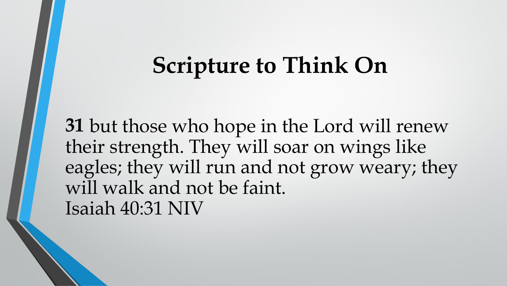# **Scripture to Think On**

**31** but those who hope in the Lord will renew their strength. They will soar on wings like eagles; they will run and not grow weary; they will walk and not be faint. Isaiah 40:31 NIV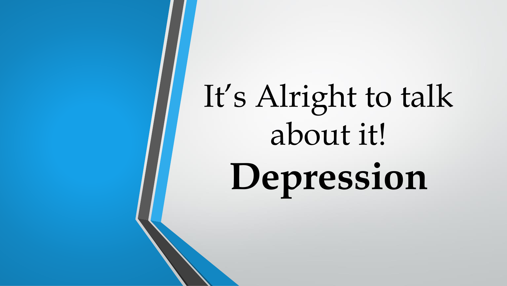# It's Alright to talk about it! **Depression**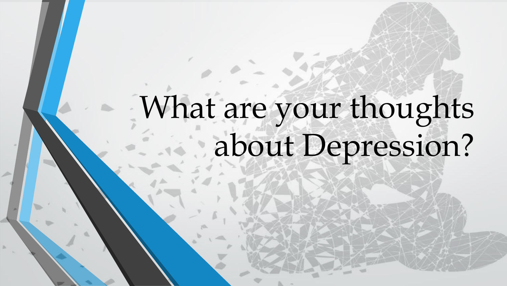# What are your thoughts about Depression?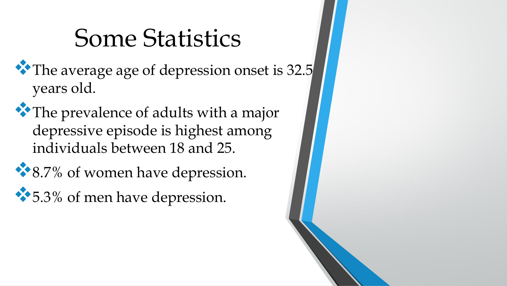# Some Statistics

- ❖The average age of depression onset is 32.5 years old.
- ❖The prevalence of adults with a major depressive episode is highest among individuals between 18 and 25.
- ❖8.7% of women have depression.
- ❖5.3% of men have depression.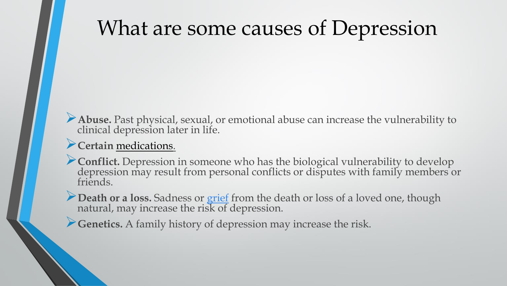# What are some causes of Depression

➢**Abuse.** Past physical, sexual, or emotional abuse can increase the vulnerability to clinical depression later in life.

#### ➢**Certain** [medications.](https://www.webmd.com/drugs/index-drugs.aspx)

➢**Conflict.** Depression in someone who has the biological vulnerability to develop depression may result from personal conflicts or disputes with family members or friends.

➢**Death or a loss.** Sadness or [grief](https://www.webmd.com/balance/normal-grieving-and-stages-of-grief) from the death or loss of a loved one, though natural, may increase the risk of depression.

➢**Genetics.** A family history of depression may increase the risk.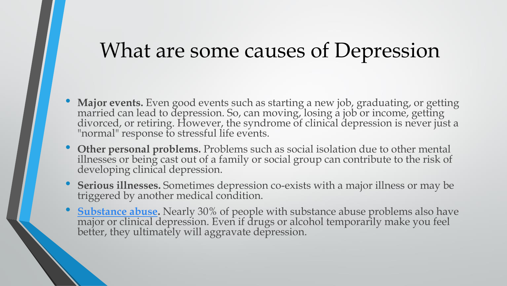#### What are some causes of Depression

- **Major events.** Even good events such as starting a new job, graduating, or getting married can lead to depression. So, can moving, losing a job or income, getting divorced, or retiring. However, the syndrome of clinical depression is never just a "normal" response to stressful life events.
- **Other personal problems.** Problems such as social isolation due to other mental illnesses or being cast out of a family or social group can contribute to the risk of developing clinical depression.
- **Serious illnesses.** Sometimes depression co-exists with a major illness or may be triggered by another medical condition.
- **[Substance abuse.](https://www.webmd.com/mental-health/addiction/default.htm)** Nearly 30% of people with substance abuse problems also have major or clinical depression. Even if drugs or alcohol temporarily make you feel better, they ultimately will aggravate depression.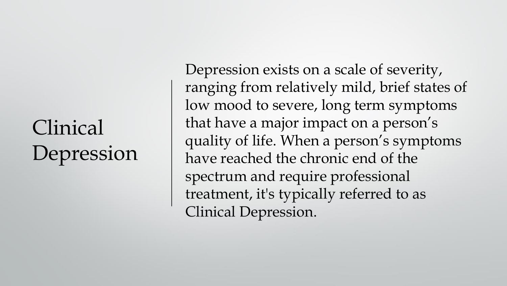# Clinical Depression

Depression exists on a scale of severity, ranging from relatively mild, brief states of low mood to severe, long term symptoms that have a major impact on a person's quality of life. When a person's symptoms have reached the chronic end of the spectrum and require professional treatment, it's typically referred to as Clinical Depression.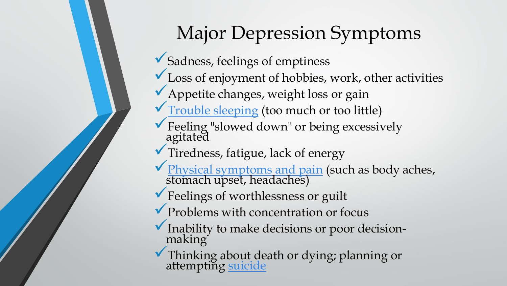# Major Depression Symptoms

- ✓Sadness, feelings of emptiness
- $\checkmark$  Loss of enjoyment of hobbies, work, other activities
- ◆ Appetite changes, weight loss or gain
- $\sqrt{T}$  [Trouble sleeping](https://www.verywellmind.com/coping-with-sleep-disturbances-during-depression-4161015) (too much or too little)
- ◆ Feeling "slowed down" or being excessively agitated
- ✓Tiredness, fatigue, lack of energy
- ◆ [Physical symptoms and pain](https://www.verywellmind.com/physical-effects-of-depression-1066890) (such as body aches, stomach upset, headaches)
- ▼ Feelings of worthlessness or guilt
- Problems with concentration or focus
- ◆ Inability to make decisions or poor decisionmaking
- ✓Thinking about death or dying; planning or attempting [suicide](https://www.verywellmind.com/tips-for-coping-with-suicidal-thoughts-1067530)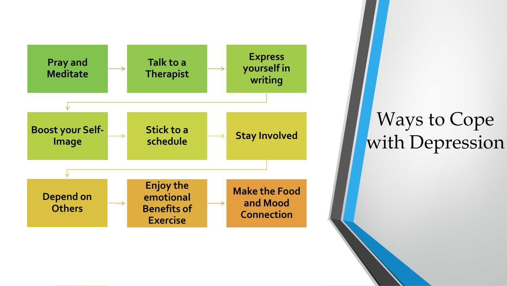

#### Ways to Cope with Depression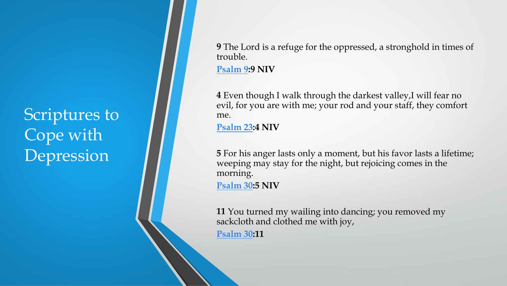Scriptures to Cope with Depression

**9** The Lord is a refuge for the oppressed, a stronghold in times of trouble.

**[Psalm 9](https://www.christianity.com/bible/bible.php?q=Psalm+9&ver=niv):9 NIV**

**4** Even though I walk through the darkest valley,I will fear no evil, for you are with me; your rod and your staff, they comfort me.

**[Psalm 23:](https://www.christianity.com/bible/bible.php?q=Psalm+23&ver=niv)4 NIV**

**5** For his anger lasts only a moment, but his favor lasts a lifetime; weeping may stay for the night, but rejoicing comes in the morning. **[Psalm 30:](https://www.christianity.com/bible/bible.php?q=Psalm+30&ver=niv)5 NIV**

**11** You turned my wailing into dancing; you removed my sackcloth and clothed me with joy,

**[Psalm 30:](https://www.christianity.com/bible/bible.php?q=Psalm+30&ver=niv)11**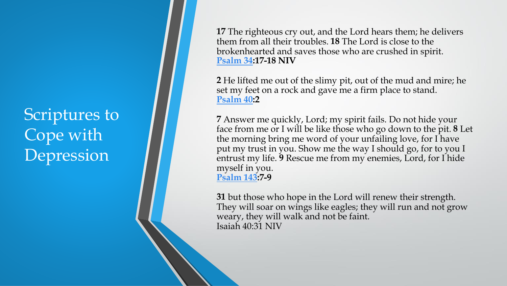Scriptures to Cope with Depression

**17** The righteous cry out, and the Lord hears them; he delivers them from all their troubles. **18** The Lord is close to the brokenhearted and saves those who are crushed in spirit. **[Psalm 34:](https://www.christianity.com/bible/bible.php?q=Psalm+34&ver=niv)17 -18 NIV**

**2** He lifted me out of the slimy pit, out of the mud and mire; he set my feet on a rock and gave me a firm place to stand. **[Psalm 40:](https://www.christianity.com/bible/bible.php?q=Psalm+40&ver=niv)2**

**7** Answer me quickly, Lord; my spirit fails. Do not hide your face from me or I will be like those who go down to the pit. **8** Let the morning bring me word of your unfailing love, for I have put my trust in you. Show me the way I should go, for to you I entrust my life. **9** Rescue me from my enemies, Lord, for I hide myself in you. **[Psalm 143](https://www.christianity.com/bible/bible.php?q=Psalm+143&ver=niv):7 - 9**

**31** but those who hope in the Lord will renew their strength. They will soar on wings like eagles; they will run and not grow weary, they will walk and not be faint. Isaiah 40:31 NIV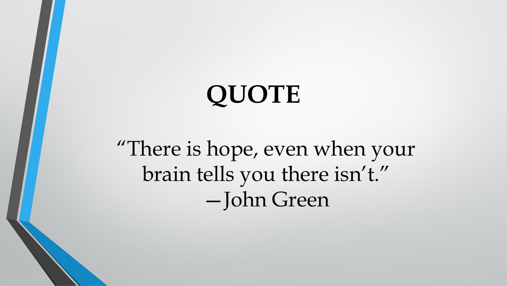# **QUOTE**

"There is hope, even when your brain tells you there isn't." —John Green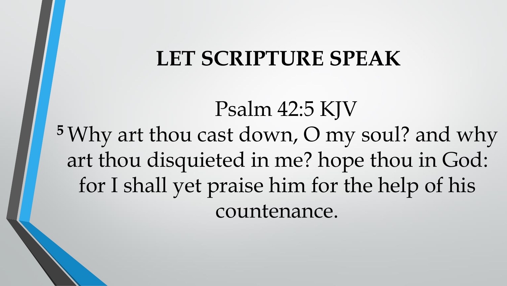#### **LET SCRIPTURE SPEAK**

Psalm 42:5 KJV **<sup>5</sup>** Why art thou cast down, O my soul? and why art thou disquieted in me? hope thou in God: for I shall yet praise him for the help of his countenance.